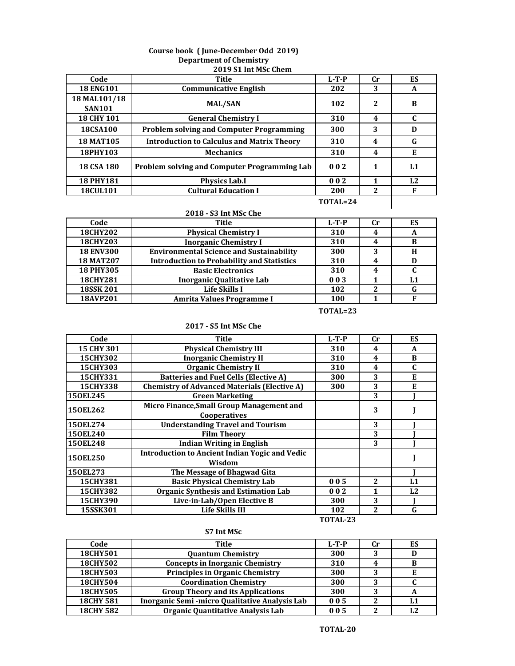#### **Course book ( June-December Odd 2019) Department of Chemistry 2019 S1 Int MSc Chem**

| Code                          | Title                                             | $L-T-P$          | <b>Cr</b> | ES |
|-------------------------------|---------------------------------------------------|------------------|-----------|----|
| <b>18 ENG101</b>              | <b>Communicative English</b>                      | 202              | 3         | A  |
| 18 MAL101/18<br><b>SAN101</b> | <b>MAL/SAN</b>                                    | 102              | 2         | B  |
| <b>18 CHY 101</b>             | <b>General Chemistry I</b>                        | 310              | 4         | C  |
| 18CSA100                      | <b>Problem solving and Computer Programming</b>   | 300              | 3         | D  |
| <b>18 MAT105</b>              | <b>Introduction to Calculus and Matrix Theory</b> | 310              | 4         | G  |
| 18PHY103                      | <b>Mechanics</b>                                  | 310              | 4         | Е  |
| <b>18 CSA 180</b>             | Problem solving and Computer Programming Lab      | 0 <sub>0</sub> 2 | 1         | L1 |
| <b>18 PHY181</b>              | <b>Physics Lab.I</b>                              | 002              |           | L2 |
| <b>18CUL101</b>               | <b>Cultural Education I</b>                       | 200              | 2         | F  |
|                               |                                                   | TOTAL=24         |           |    |

# **2018 - S3 Int MSc Che**

| Code             | <b>Title</b>                                      | $L-T-P$ | Cr | ES  |
|------------------|---------------------------------------------------|---------|----|-----|
| <b>18CHY202</b>  | <b>Physical Chemistry I</b>                       | 310     |    | A   |
| <b>18CHY203</b>  | <b>Inorganic Chemistry I</b>                      | 310     |    |     |
| <b>18 ENV300</b> | <b>Environmental Science and Sustainability</b>   | 300     | 3  | Н   |
| <b>18 MAT207</b> | <b>Introduction to Probability and Statistics</b> | 310     |    |     |
| <b>18 PHY305</b> | <b>Basic Electronics</b>                          | 310     |    |     |
| <b>18CHY281</b>  | <b>Inorganic Qualitative Lab</b>                  | 003     |    | I.1 |
| <b>18SSK 201</b> | Life Skills I                                     | 102     |    |     |
| 18AVP201         | Amrita Values Programme I                         | 100     |    |     |

## **TOTAL=23**

### **2017 - S5 Int MSc Che**

| Code            | <b>Title</b>                                          | $L-T-P$  | <b>Cr</b>        | ES |
|-----------------|-------------------------------------------------------|----------|------------------|----|
| 15 CHY 301      | <b>Physical Chemistry III</b>                         | 310      | $\boldsymbol{4}$ | A  |
| <b>15CHY302</b> | <b>Inorganic Chemistry II</b>                         | 310      | $\boldsymbol{4}$ | B  |
| <b>15CHY303</b> | <b>Organic Chemistry II</b>                           | 310      | $\boldsymbol{4}$ | C  |
| 15CHY331        | <b>Batteries and Fuel Cells (Elective A)</b>          | 300      | 3                | Е  |
| 15CHY338        | <b>Chemistry of Advanced Materials (Elective A)</b>   | 300      | 3                | E  |
| 150EL245        | <b>Green Marketing</b>                                |          | 3                |    |
| 150EL262        | Micro Finance, Small Group Management and             |          | 3                |    |
|                 | <b>Cooperatives</b>                                   |          |                  |    |
| 150EL274        | <b>Understanding Travel and Tourism</b>               |          | 3                |    |
| 150EL240        | <b>Film Theory</b>                                    |          | 3                |    |
| 150EL248        | Indian Writing in English                             |          | 3                |    |
|                 | <b>Introduction to Ancient Indian Yogic and Vedic</b> |          |                  |    |
| 150EL250        | Wisdom                                                |          |                  |    |
| 150EL273        | The Message of Bhagwad Gita                           |          |                  |    |
| 15CHY381        | <b>Basic Physical Chemistry Lab</b>                   | 005      | $\mathbf{2}$     | L1 |
| 15CHY382        | <b>Organic Synthesis and Estimation Lab</b>           | 002      | 1                | L2 |
| <b>15CHY390</b> | Live-in-Lab/Open Elective B                           | 300      | 3                |    |
| 15SSK301        | Life Skills III                                       | 102      | 2                | G  |
|                 |                                                       | TOTAL-23 |                  |    |

## **Code Title L-T-P Cr ES 18CHY501 Quantum Chemistry 300 3 D 18CHY502 Concepts in Inorganic Chemistry 310 4 B 18CHY503 Principles in Organic Chemistry 300 3 E 18CHY504 Coordination Chemistry 300 3 C 18CHY505 Group Theory and its Applications 300 3 A 18CHY 581 Inorganic Semi -micro Qualitative Analysis Lab 0 0 5 2 L1 18CHY 582 Organic Quantitative Analysis Lab 0 0 5 2 L2**

**S7 Int MSc**